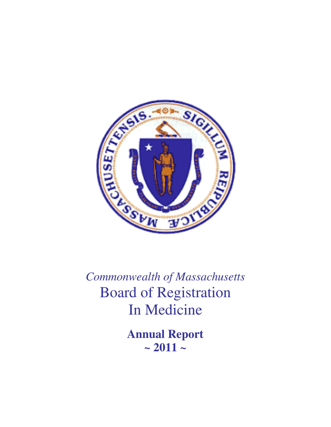

*Commonwealth of Massachusetts*  Board of Registration In Medicine

> **Annual Report**   $\sim 2011 -$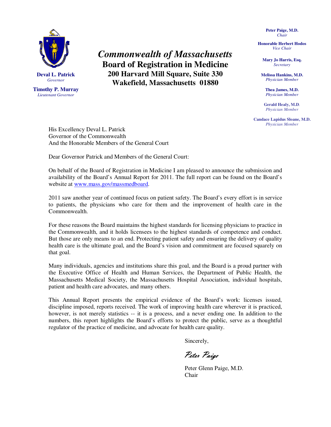

**Timothy P. Murray**  *Lieutenant Governor* 

*Commonwealth of Massachusetts*  **Board of Registration in Medicine 200 Harvard Mill Square, Suite 330 Wakefield, Massachusetts 01880** 

**Peter Paige, M.D.**  *Chair* 

**Honorable Herbert Hodos**  *Vice Chair* 

> **Mary Jo Harris, Esq.**  *Secretary*

**Melissa Hankins, M.D.**  *Physician Member* 

> **Thea James, M.D.**  *Physician Member*

**Gerald Healy, M.D***. Physician Member* 

**Candace Lapidus Sloane, M.D.**  *Physician Member* 

His Excellency Deval L. Patrick Governor of the Commonwealth And the Honorable Members of the General Court

Dear Governor Patrick and Members of the General Court:

On behalf of the Board of Registration in Medicine I am pleased to announce the submission and availability of the Board's Annual Report for 2011. The full report can be found on the Board's website at www.mass.gov/massmedboard.

2011 saw another year of continued focus on patient safety. The Board's every effort is in service to patients, the physicians who care for them and the improvement of health care in the Commonwealth.

For these reasons the Board maintains the highest standards for licensing physicians to practice in the Commonwealth, and it holds licensees to the highest standards of competence and conduct. But those are only means to an end. Protecting patient safety and ensuring the delivery of quality health care is the ultimate goal, and the Board's vision and commitment are focused squarely on that goal.

Many individuals, agencies and institutions share this goal, and the Board is a proud partner with the Executive Office of Health and Human Services, the Department of Public Health, the Massachusetts Medical Society, the Massachusetts Hospital Association, individual hospitals, patient and health care advocates, and many others.

This Annual Report presents the empirical evidence of the Board's work: licenses issued, discipline imposed, reports received. The work of improving health care wherever it is practiced, however, is not merely statistics -- it is a process, and a never ending one. In addition to the numbers, this report highlights the Board's efforts to protect the public, serve as a thoughtful regulator of the practice of medicine, and advocate for health care quality.

Sincerely,

Peter Paige

 Peter Glenn Paige, M.D. **Chair**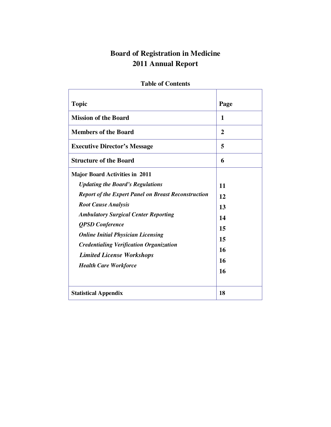# **Board of Registration in Medicine 2011 Annual Report**

| <b>Topic</b>                                                                                                                                                                                                                                                                                                                                                                                                             | Page                                               |
|--------------------------------------------------------------------------------------------------------------------------------------------------------------------------------------------------------------------------------------------------------------------------------------------------------------------------------------------------------------------------------------------------------------------------|----------------------------------------------------|
| <b>Mission of the Board</b>                                                                                                                                                                                                                                                                                                                                                                                              | 1                                                  |
| <b>Members of the Board</b>                                                                                                                                                                                                                                                                                                                                                                                              | 2                                                  |
| <b>Executive Director's Message</b>                                                                                                                                                                                                                                                                                                                                                                                      | 5                                                  |
| <b>Structure of the Board</b>                                                                                                                                                                                                                                                                                                                                                                                            | 6                                                  |
| <b>Major Board Activities in 2011</b><br><b>Updating the Board's Regulations</b><br><b>Report of the Expert Panel on Breast Reconstruction</b><br><b>Root Cause Analysis</b><br><b>Ambulatory Surgical Center Reporting</b><br><b>QPSD</b> Conference<br><b>Online Initial Physician Licensing</b><br><b>Credentialing Verification Organization</b><br><b>Limited License Workshops</b><br><b>Health Care Workforce</b> | 11<br>12<br>13<br>14<br>15<br>15<br>16<br>16<br>16 |
| <b>Statistical Appendix</b>                                                                                                                                                                                                                                                                                                                                                                                              | 18                                                 |

# **Table of Contents**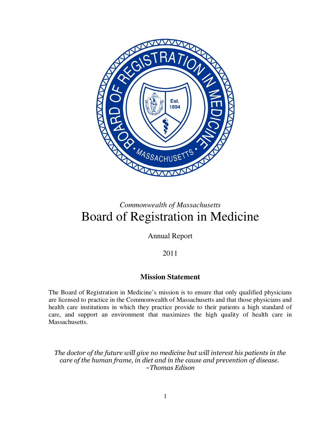

# *Commonwealth of Massachusetts*  Board of Registration in Medicine

Annual Report

2011

# **Mission Statement**

The Board of Registration in Medicine's mission is to ensure that only qualified physicians are licensed to practice in the Commonwealth of Massachusetts and that those physicians and health care institutions in which they practice provide to their patients a high standard of care, and support an environment that maximizes the high quality of health care in Massachusetts.

*The doctor of the future will give no medicine but will interest his patients in the care of the human frame, in diet and in the cause and prevention of disease. ~Thomas Edison*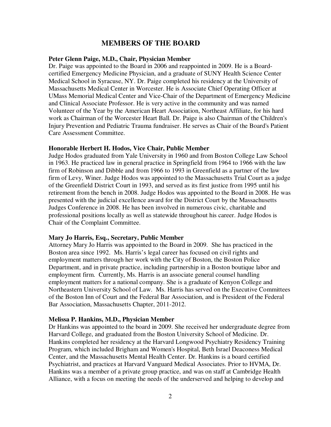# **MEMBERS OF THE BOARD**

### **Peter Glenn Paige, M.D., Chair, Physician Member**

Dr. Paige was appointed to the Board in 2006 and reappointed in 2009. He is a Boardcertified Emergency Medicine Physician, and a graduate of SUNY Health Science Center Medical School in Syracuse, NY. Dr. Paige completed his residency at the University of Massachusetts Medical Center in Worcester. He is Associate Chief Operating Officer at UMass Memorial Medical Center and Vice-Chair of the Department of Emergency Medicine and Clinical Associate Professor. He is very active in the community and was named Volunteer of the Year by the American Heart Association, Northeast Affiliate, for his hard work as Chairman of the Worcester Heart Ball. Dr. Paige is also Chairman of the Children's Injury Prevention and Pediatric Trauma fundraiser. He serves as Chair of the Board's Patient Care Assessment Committee.

### **Honorable Herbert H. Hodos, Vice Chair, Public Member**

Judge Hodos graduated from Yale University in 1960 and from Boston College Law School in 1963. He practiced law in general practice in Springfield from 1964 to 1966 with the law firm of Robinson and Dibble and from 1966 to 1993 in Greenfield as a partner of the law firm of Levy, Winer. Judge Hodos was appointed to the Massachusetts Trial Court as a judge of the Greenfield District Court in 1993, and served as its first justice from 1995 until his retirement from the bench in 2008. Judge Hodos was appointed to the Board in 2008. He was presented with the judicial excellence award for the District Court by the Massachusetts Judges Conference in 2008. He has been involved in numerous civic, charitable and professional positions locally as well as statewide throughout his career. Judge Hodos is Chair of the Complaint Committee.

#### **Mary Jo Harris, Esq., Secretary, Public Member**

Attorney Mary Jo Harris was appointed to the Board in 2009. She has practiced in the Boston area since 1992. Ms. Harris's legal career has focused on civil rights and employment matters through her work with the City of Boston, the Boston Police Department, and in private practice, including partnership in a Boston boutique labor and employment firm. Currently, Ms. Harris is an associate general counsel handling employment matters for a national company. She is a graduate of Kenyon College and Northeastern University School of Law. Ms. Harris has served on the Executive Committees of the Boston Inn of Court and the Federal Bar Association, and is President of the Federal Bar Association, Massachusetts Chapter, 2011-2012.

#### **Melissa P. Hankins, M.D., Physician Member**

Dr Hankins was appointed to the board in 2009. She received her undergraduate degree from Harvard College, and graduated from the Boston University School of Medicine. Dr. Hankins completed her residency at the Harvard Longwood Psychiatry Residency Training Program, which included Brigham and Women's Hospital, Beth Israel Deaconess Medical Center, and the Massachusetts Mental Health Center. Dr. Hankins is a board certified Psychiatrist, and practices at Harvard Vanguard Medical Associates. Prior to HVMA, Dr. Hankins was a member of a private group practice, and was on staff at Cambridge Health Alliance, with a focus on meeting the needs of the underserved and helping to develop and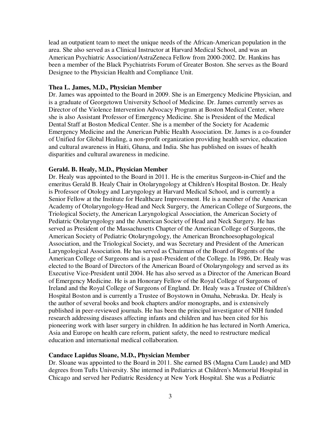lead an outpatient team to meet the unique needs of the African-American population in the area. She also served as a Clinical Instructor at Harvard Medical School, and was an American Psychiatric Association/AstraZeneca Fellow from 2000-2002. Dr. Hankins has been a member of the Black Psychiatrists Forum of Greater Boston. She serves as the Board Designee to the Physician Health and Compliance Unit.

### **Thea L. James, M.D., Physician Member**

Dr. James was appointed to the Board in 2009. She is an Emergency Medicine Physician, and is a graduate of Georgetown University School of Medicine. Dr. James currently serves as Director of the Violence Intervention Advocacy Program at Boston Medical Center, where she is also Assistant Professor of Emergency Medicine. She is President of the Medical Dental Staff at Boston Medical Center. She is a member of the Society for Academic Emergency Medicine and the American Public Health Association. Dr. James is a co-founder of Unified for Global Healing, a non-profit organization providing health service, education and cultural awareness in Haiti, Ghana, and India. She has published on issues of health disparities and cultural awareness in medicine.

### **Gerald. B. Healy, M.D., Physician Member**

Dr. Healy was appointed to the Board in 2011. He is the emeritus Surgeon-in-Chief and the emeritus Gerald B. Healy Chair in Otolaryngology at Children's Hospital Boston. Dr. Healy is Professor of Otology and Laryngology at Harvard Medical School, and is currently a Senior Fellow at the Institute for Healthcare Improvement. He is a member of the American Academy of Otolaryngology-Head and Neck Surgery, the American College of Surgeons, the Triological Society, the American Laryngological Association, the American Society of Pediatric Otolaryngology and the American Society of Head and Neck Surgery. He has served as President of the Massachusetts Chapter of the American College of Surgeons, the American Society of Pediatric Otolaryngology, the American Bronchoesophagological Association, and the Triological Society, and was Secretary and President of the American Laryngological Association. He has served as Chairman of the Board of Regents of the American College of Surgeons and is a past-President of the College. In 1986, Dr. Healy was elected to the Board of Directors of the American Board of Otolaryngology and served as its Executive Vice-President until 2004. He has also served as a Director of the American Board of Emergency Medicine. He is an Honorary Fellow of the Royal College of Surgeons of Ireland and the Royal College of Surgeons of England. Dr. Healy was a Trustee of Children's Hospital Boston and is currently a Trustee of Boystown in Omaha, Nebraska. Dr. Healy is the author of several books and book chapters and/or monographs, and is extensively published in peer-reviewed journals. He has been the principal investigator of NIH funded research addressing diseases affecting infants and children and has been cited for his pioneering work with laser surgery in children. In addition he has lectured in North America, Asia and Europe on health care reform, patient safety, the need to restructure medical education and international medical collaboration.

### **Candace Lapidus Sloane, M.D., Physician Member**

Dr. Sloane was appointed to the Board in 2011. She earned BS (Magna Cum Laude) and MD degrees from Tufts University. She interned in Pediatrics at Children's Memorial Hospital in Chicago and served her Pediatric Residency at New York Hospital. She was a Pediatric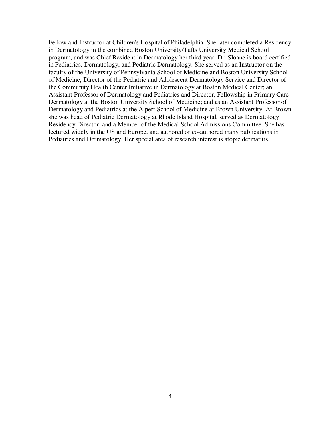Fellow and Instructor at Children's Hospital of Philadelphia. She later completed a Residency in Dermatology in the combined Boston University/Tufts University Medical School program, and was Chief Resident in Dermatology her third year. Dr. Sloane is board certified in Pediatrics, Dermatology, and Pediatric Dermatology. She served as an Instructor on the faculty of the University of Pennsylvania School of Medicine and Boston University School of Medicine, Director of the Pediatric and Adolescent Dermatology Service and Director of the Community Health Center Initiative in Dermatology at Boston Medical Center; an Assistant Professor of Dermatology and Pediatrics and Director, Fellowship in Primary Care Dermatology at the Boston University School of Medicine; and as an Assistant Professor of Dermatology and Pediatrics at the Alpert School of Medicine at Brown University. At Brown she was head of Pediatric Dermatology at Rhode Island Hospital, served as Dermatology Residency Director, and a Member of the Medical School Admissions Committee. She has lectured widely in the US and Europe, and authored or co-authored many publications in Pediatrics and Dermatology. Her special area of research interest is atopic dermatitis.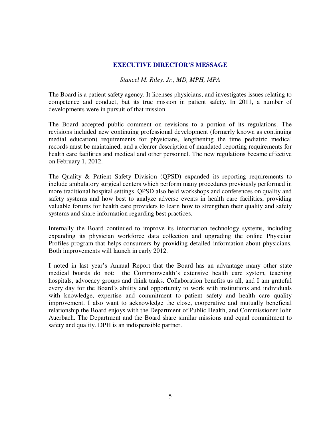## **EXECUTIVE DIRECTOR'S MESSAGE**

## *Stancel M. Riley, Jr., MD, MPH, MPA*

The Board is a patient safety agency. It licenses physicians, and investigates issues relating to competence and conduct, but its true mission in patient safety. In 2011, a number of developments were in pursuit of that mission.

The Board accepted public comment on revisions to a portion of its regulations. The revisions included new continuing professional development (formerly known as continuing medial education) requirements for physicians, lengthening the time pediatric medical records must be maintained, and a clearer description of mandated reporting requirements for health care facilities and medical and other personnel. The new regulations became effective on February 1, 2012.

The Quality & Patient Safety Division (QPSD) expanded its reporting requirements to include ambulatory surgical centers which perform many procedures previously performed in more traditional hospital settings. QPSD also held workshops and conferences on quality and safety systems and how best to analyze adverse events in health care facilities, providing valuable forums for health care providers to learn how to strengthen their quality and safety systems and share information regarding best practices.

Internally the Board continued to improve its information technology systems, including expanding its physician workforce data collection and upgrading the online Physician Profiles program that helps consumers by providing detailed information about physicians. Both improvements will launch in early 2012.

I noted in last year's Annual Report that the Board has an advantage many other state medical boards do not: the Commonwealth's extensive health care system, teaching hospitals, advocacy groups and think tanks. Collaboration benefits us all, and I am grateful every day for the Board's ability and opportunity to work with institutions and individuals with knowledge, expertise and commitment to patient safety and health care quality improvement. I also want to acknowledge the close, cooperative and mutually beneficial relationship the Board enjoys with the Department of Public Health, and Commissioner John Auerbach. The Department and the Board share similar missions and equal commitment to safety and quality. DPH is an indispensible partner.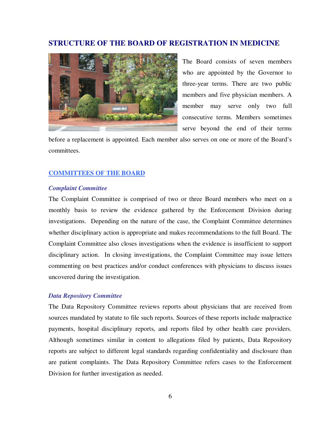# **STRUCTURE OF THE BOARD OF REGISTRATION IN MEDICINE**



The Board consists of seven members who are appointed by the Governor to three-year terms. There are two public members and five physician members. A member may serve only two full consecutive terms. Members sometimes serve beyond the end of their terms

before a replacement is appointed. Each member also serves on one or more of the Board's committees.

### **COMMITTEES OF THE BOARD**

### *Complaint Committee*

The Complaint Committee is comprised of two or three Board members who meet on a monthly basis to review the evidence gathered by the Enforcement Division during investigations. Depending on the nature of the case, the Complaint Committee determines whether disciplinary action is appropriate and makes recommendations to the full Board. The Complaint Committee also closes investigations when the evidence is insufficient to support disciplinary action. In closing investigations, the Complaint Committee may issue letters commenting on best practices and/or conduct conferences with physicians to discuss issues uncovered during the investigation.

### *Data Repository Committee*

The Data Repository Committee reviews reports about physicians that are received from sources mandated by statute to file such reports. Sources of these reports include malpractice payments, hospital disciplinary reports, and reports filed by other health care providers. Although sometimes similar in content to allegations filed by patients, Data Repository reports are subject to different legal standards regarding confidentiality and disclosure than are patient complaints. The Data Repository Committee refers cases to the Enforcement Division for further investigation as needed.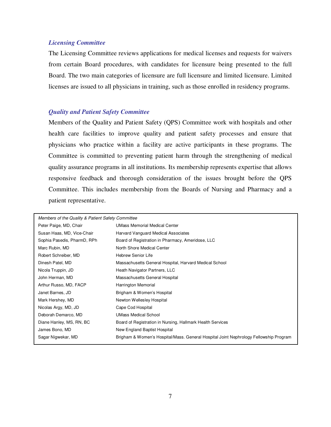### *Licensing Committee*

The Licensing Committee reviews applications for medical licenses and requests for waivers from certain Board procedures, with candidates for licensure being presented to the full Board. The two main categories of licensure are full licensure and limited licensure. Limited licenses are issued to all physicians in training, such as those enrolled in residency programs.

### *Quality and Patient Safety Committee*

Members of the Quality and Patient Safety (QPS) Committee work with hospitals and other health care facilities to improve quality and patient safety processes and ensure that physicians who practice within a facility are active participants in these programs. The Committee is committed to preventing patient harm through the strengthening of medical quality assurance programs in all institutions. Its membership represents expertise that allows responsive feedback and thorough consideration of the issues brought before the QPS Committee. This includes membership from the Boards of Nursing and Pharmacy and a patient representative.

| Members of the Quality & Patient Safety Committee |                                                                                       |
|---------------------------------------------------|---------------------------------------------------------------------------------------|
| Peter Paige, MD, Chair                            | <b>UMass Memorial Medical Center</b>                                                  |
| Susan Haas, MD, Vice-Chair                        | Harvard Vanguard Medical Associates                                                   |
| Sophia Pasedis, PharmD, RPh                       | Board of Registration in Pharmacy, Ameridose, LLC                                     |
| Marc Rubin, MD                                    | North Shore Medical Center                                                            |
| Robert Schreiber, MD                              | <b>Hebrew Senior Life</b>                                                             |
| Dinesh Patel, MD                                  | Massachusetts General Hospital, Harvard Medical School                                |
| Nicola Truppin, JD                                | Heath Navigator Partners, LLC                                                         |
| John Herman, MD                                   | Massachusetts General Hospital                                                        |
| Arthur Russo, MD, FACP                            | Harrington Memorial                                                                   |
| Janet Barnes, JD                                  | Brigham & Women's Hospital                                                            |
| Mark Hershey, MD                                  | Newton Wellesley Hospital                                                             |
| Nicolas Argy, MD, JD                              | Cape Cod Hospital                                                                     |
| Deborah Demarco, MD                               | <b>UMass Medical School</b>                                                           |
| Diane Hanley, MS, RN, BC                          | Board of Registration in Nursing, Hallmark Health Services                            |
| James Bono, MD                                    | New England Baptist Hospital                                                          |
| Sagar Nigwekar, MD                                | Brigham & Women's Hospital/Mass. General Hospital Joint Nephrology Fellowship Program |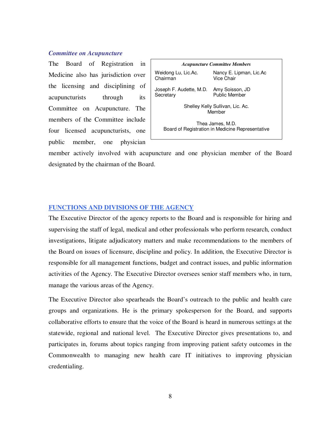### *Committee on Acupuncture*

The Board of Registration in Medicine also has jurisdiction over the licensing and disciplining of acupuncturists through its Committee on Acupuncture. The members of the Committee include four licensed acupuncturists, one public member, one physician



member actively involved with acupuncture and one physician member of the Board designated by the chairman of the Board.

### **FUNCTIONS AND DIVISIONS OF THE AGENCY**

The Executive Director of the agency reports to the Board and is responsible for hiring and supervising the staff of legal, medical and other professionals who perform research, conduct investigations, litigate adjudicatory matters and make recommendations to the members of the Board on issues of licensure, discipline and policy. In addition, the Executive Director is responsible for all management functions, budget and contract issues, and public information activities of the Agency. The Executive Director oversees senior staff members who, in turn, manage the various areas of the Agency.

The Executive Director also spearheads the Board's outreach to the public and health care groups and organizations. He is the primary spokesperson for the Board, and supports collaborative efforts to ensure that the voice of the Board is heard in numerous settings at the statewide, regional and national level. The Executive Director gives presentations to, and participates in, forums about topics ranging from improving patient safety outcomes in the Commonwealth to managing new health care IT initiatives to improving physician credentialing.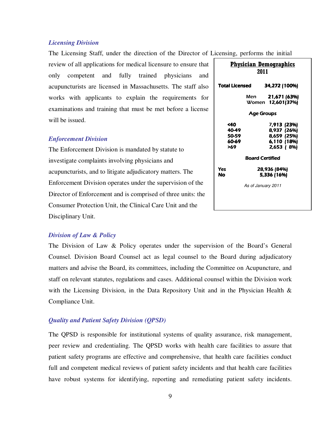### *Licensing Division*

The Licensing Staff, under the direction of the Director of Licensing, performs the initial

review of all applications for medical licensure to ensure that only competent and fully trained physicians and acupuncturists are licensed in Massachusetts. The staff also works with applicants to explain the requirements for examinations and training that must be met before a license will be issued.

### *Enforcement Division*

The Enforcement Division is mandated by statute to investigate complaints involving physicians and acupuncturists, and to litigate adjudicatory matters. The Enforcement Division operates under the supervision of the Director of Enforcement and is comprised of three units: the Consumer Protection Unit, the Clinical Care Unit and the Disciplinary Unit.

| Physician Demographics<br>2011           |                        |                                                                        |  |  |  |
|------------------------------------------|------------------------|------------------------------------------------------------------------|--|--|--|
| Total Licensed                           |                        | 34,272 (100%)                                                          |  |  |  |
|                                          | Men                    | 21,671 (63%)<br>Women 12,601(37%)                                      |  |  |  |
|                                          | <b>Age Groups</b>      |                                                                        |  |  |  |
| <40<br>40-49<br>50-59<br>60-69<br>>69    |                        | 7,913 (23%)<br>8,937 (26%)<br>8,659 (25%)<br>6,110 (18%)<br>2,653 (8%) |  |  |  |
|                                          | <b>Board Certified</b> |                                                                        |  |  |  |
| 28,936 (84%)<br>Yes<br>5,336 (16%)<br>No |                        |                                                                        |  |  |  |
|                                          | As of January 2011     |                                                                        |  |  |  |
|                                          |                        |                                                                        |  |  |  |

### *Division of Law & Policy*

The Division of Law & Policy operates under the supervision of the Board's General Counsel. Division Board Counsel act as legal counsel to the Board during adjudicatory matters and advise the Board, its committees, including the Committee on Acupuncture, and staff on relevant statutes, regulations and cases. Additional counsel within the Division work with the Licensing Division, in the Data Repository Unit and in the Physician Health & Compliance Unit.

### *Quality and Patient Safety Division (QPSD)*

The QPSD is responsible for institutional systems of quality assurance, risk management, peer review and credentialing. The QPSD works with health care facilities to assure that patient safety programs are effective and comprehensive, that health care facilities conduct full and competent medical reviews of patient safety incidents and that health care facilities have robust systems for identifying, reporting and remediating patient safety incidents.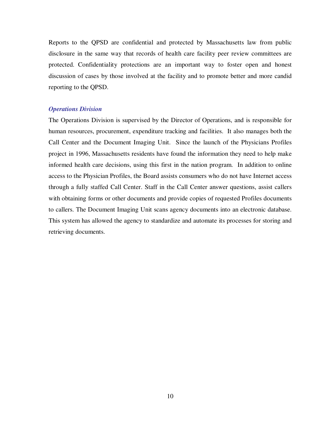Reports to the QPSD are confidential and protected by Massachusetts law from public disclosure in the same way that records of health care facility peer review committees are protected. Confidentiality protections are an important way to foster open and honest discussion of cases by those involved at the facility and to promote better and more candid reporting to the QPSD.

### *Operations Division*

The Operations Division is supervised by the Director of Operations, and is responsible for human resources, procurement, expenditure tracking and facilities. It also manages both the Call Center and the Document Imaging Unit. Since the launch of the Physicians Profiles project in 1996, Massachusetts residents have found the information they need to help make informed health care decisions, using this first in the nation program. In addition to online access to the Physician Profiles, the Board assists consumers who do not have Internet access through a fully staffed Call Center. Staff in the Call Center answer questions, assist callers with obtaining forms or other documents and provide copies of requested Profiles documents to callers. The Document Imaging Unit scans agency documents into an electronic database. This system has allowed the agency to standardize and automate its processes for storing and retrieving documents.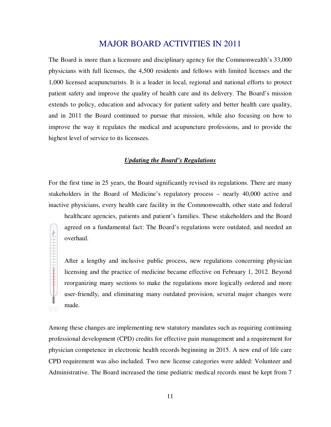# MAJOR BOARD ACTIVITIES IN 2011

The Board is more than a licensure and disciplinary agency for the Commonwealth's 33,000 physicians with full licenses, the 4,500 residents and fellows with limited licenses and the 1,000 licensed acupuncturists. It is a leader in local, regional and national efforts to protect patient safety and improve the quality of health care and its delivery. The Board's mission extends to policy, education and advocacy for patient safety and better health care quality, and in 2011 the Board continued to pursue that mission, while also focusing on how to improve the way it regulates the medical and acupuncture professions, and to provide the highest level of service to its licensees.

### *Updating the Board's Regulations*

For the first time in 25 years, the Board significantly revised its regulations. There are many stakeholders in the Board of Medicine's regulatory process – nearly 40,000 active and inactive physicians, every health care facility in the Commonwealth, other state and federal

healthcare agencies, patients and patient's families. These stakeholders and the Board agreed on a fundamental fact: The Board's regulations were outdated, and needed an overhaul.

After a lengthy and inclusive public process, new regulations concerning physician licensing and the practice of medicine became effective on February 1, 2012. Beyond reorganizing many sections to make the regulations more logically ordered and more user-friendly, and eliminating many outdated provision, several major changes were made.

Among these changes are implementing new statutory mandates such as requiring continuing professional development (CPD) credits for effective pain management and a requirement for physician competence in electronic health records beginning in 2015. A new end of life care CPD requirement was also included. Two new license categories were added: Volunteer and Administrative. The Board increased the time pediatric medical records must be kept from 7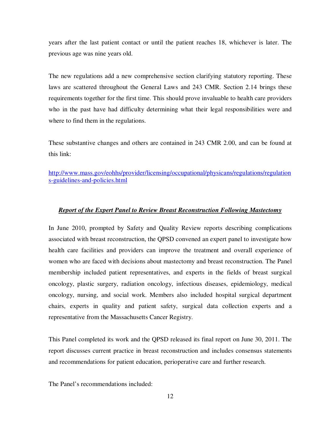years after the last patient contact or until the patient reaches 18, whichever is later. The previous age was nine years old.

The new regulations add a new comprehensive section clarifying statutory reporting. These laws are scattered throughout the General Laws and 243 CMR. Section 2.14 brings these requirements together for the first time. This should prove invaluable to health care providers who in the past have had difficulty determining what their legal responsibilities were and where to find them in the regulations.

These substantive changes and others are contained in 243 CMR 2.00, and can be found at this link:

http://www.mass.gov/eohhs/provider/licensing/occupational/physicans/regulations/regulation s-guidelines-and-policies.html

### *Report of the Expert Panel to Review Breast Reconstruction Following Mastectomy*

In June 2010, prompted by Safety and Quality Review reports describing complications associated with breast reconstruction, the QPSD convened an expert panel to investigate how health care facilities and providers can improve the treatment and overall experience of women who are faced with decisions about mastectomy and breast reconstruction. The Panel membership included patient representatives, and experts in the fields of breast surgical oncology, plastic surgery, radiation oncology, infectious diseases, epidemiology, medical oncology, nursing, and social work. Members also included hospital surgical department chairs, experts in quality and patient safety, surgical data collection experts and a representative from the Massachusetts Cancer Registry.

This Panel completed its work and the QPSD released its final report on June 30, 2011. The report discusses current practice in breast reconstruction and includes consensus statements and recommendations for patient education, perioperative care and further research.

The Panel's recommendations included: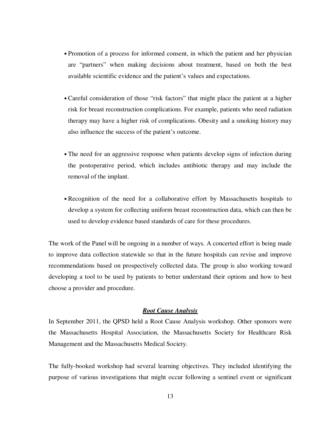- Promotion of a process for informed consent, in which the patient and her physician are "partners" when making decisions about treatment, based on both the best available scientific evidence and the patient's values and expectations.
- Careful consideration of those "risk factors" that might place the patient at a higher risk for breast reconstruction complications. For example, patients who need radiation therapy may have a higher risk of complications. Obesity and a smoking history may also influence the success of the patient's outcome.
- The need for an aggressive response when patients develop signs of infection during the postoperative period, which includes antibiotic therapy and may include the removal of the implant.
- Recognition of the need for a collaborative effort by Massachusetts hospitals to develop a system for collecting uniform breast reconstruction data, which can then be used to develop evidence based standards of care for these procedures.

The work of the Panel will be ongoing in a number of ways. A concerted effort is being made to improve data collection statewide so that in the future hospitals can revise and improve recommendations based on prospectively collected data. The group is also working toward developing a tool to be used by patients to better understand their options and how to best choose a provider and procedure.

#### *Root Cause Analysis*

In September 2011, the QPSD held a Root Cause Analysis workshop. Other sponsors were the Massachusetts Hospital Association, the Massachusetts Society for Healthcare Risk Management and the Massachusetts Medical Society.

The fully-booked workshop had several learning objectives. They included identifying the purpose of various investigations that might occur following a sentinel event or significant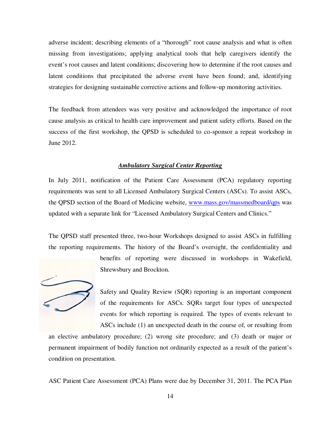adverse incident; describing elements of a "thorough" root cause analysis and what is often missing from investigations; applying analytical tools that help caregivers identify the event's root causes and latent conditions; discovering how to determine if the root causes and latent conditions that precipitated the adverse event have been found; and, identifying strategies for designing sustainable corrective actions and follow-up monitoring activities.

The feedback from attendees was very positive and acknowledged the importance of root cause analysis as critical to health care improvement and patient safety efforts. Based on the success of the first workshop, the QPSD is scheduled to co-sponsor a repeat workshop in June 2012.

### *Ambulatory Surgical Center Reporting*

In July 2011, notification of the Patient Care Assessment (PCA) regulatory reporting requirements was sent to all Licensed Ambulatory Surgical Centers (ASCs). To assist ASCs, the QPSD section of the Board of Medicine website, www.mass.gov/massmedboard/qps was updated with a separate link for "Licensed Ambulatory Surgical Centers and Clinics."

The QPSD staff presented three, two-hour Workshops designed to assist ASCs in fulfilling the reporting requirements. The history of the Board's oversight, the confidentiality and



benefits of reporting were discussed in workshops in Wakefield, Shrewsbury and Brockton.

Safety and Quality Review (SQR) reporting is an important component of the requirements for ASCs. SQRs target four types of unexpected events for which reporting is required. The types of events relevant to ASCs include (1) an unexpected death in the course of, or resulting from

an elective ambulatory procedure; (2) wrong site procedure; and (3) death or major or permanent impairment of bodily function not ordinarily expected as a result of the patient's condition on presentation.

ASC Patient Care Assessment (PCA) Plans were due by December 31, 2011. The PCA Plan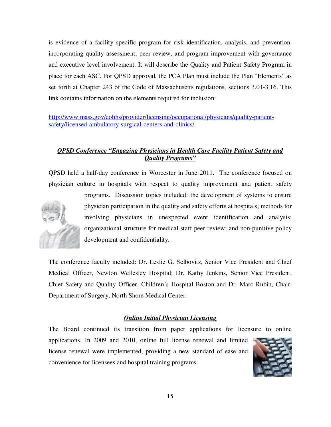is evidence of a facility specific program for risk identification, analysis, and prevention, incorporating quality assessment, peer review, and program improvement with governance and executive level involvement. It will describe the Quality and Patient Safety Program in place for each ASC. For QPSD approval, the PCA Plan must include the Plan "Elements" as set forth at Chapter 243 of the Code of Massachusetts regulations, sections 3.01-3.16. This link contains information on the elements required for inclusion:

http://www.mass.gov/eohhs/provider/licensing/occupational/physicans/quality-patientsafety/licensed-ambulatory-surgical-centers-and-clinics/

# *QPSD Conference "Engaging Physicians in Health Care Facility Patient Safety and Quality Programs"*

QPSD held a half-day conference in Worcester in June 2011. The conference focused on physician culture in hospitals with respect to quality improvement and patient safety



programs. Discussion topics included: the development of systems to ensure physician participation in the quality and safety efforts at hospitals; methods for involving physicians in unexpected event identification and analysis; organizational structure for medical staff peer review; and non-punitive policy development and confidentiality.

The conference faculty included: Dr. Leslie G. Selbovitz, Senior Vice President and Chief Medical Officer, Newton Wellesley Hospital; Dr. Kathy Jenkins, Senior Vice President, Chief Safety and Quality Officer, Children's Hospital Boston and Dr. Marc Rubin, Chair, Department of Surgery, North Shore Medical Center.

# *Online Initial Physician Licensing*

The Board continued its transition from paper applications for licensure to online applications. In 2009 and 2010, online full license renewal and limited license renewal were implemented, providing a new standard of ease and convenience for licensees and hospital training programs.

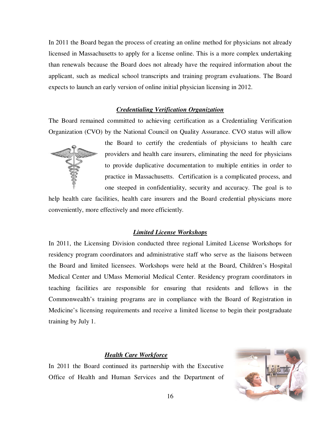In 2011 the Board began the process of creating an online method for physicians not already licensed in Massachusetts to apply for a license online. This is a more complex undertaking than renewals because the Board does not already have the required information about the applicant, such as medical school transcripts and training program evaluations. The Board expects to launch an early version of online initial physician licensing in 2012.

### *Credentialing Verification Organization*

The Board remained committed to achieving certification as a Credentialing Verification Organization (CVO) by the National Council on Quality Assurance. CVO status will allow



the Board to certify the credentials of physicians to health care providers and health care insurers, eliminating the need for physicians to provide duplicative documentation to multiple entities in order to practice in Massachusetts. Certification is a complicated process, and one steeped in confidentiality, security and accuracy. The goal is to

help health care facilities, health care insurers and the Board credential physicians more conveniently, more effectively and more efficiently.

### *Limited License Workshops*

In 2011, the Licensing Division conducted three regional Limited License Workshops for residency program coordinators and administrative staff who serve as the liaisons between the Board and limited licensees. Workshops were held at the Board, Children's Hospital Medical Center and UMass Memorial Medical Center. Residency program coordinators in teaching facilities are responsible for ensuring that residents and fellows in the Commonwealth's training programs are in compliance with the Board of Registration in Medicine's licensing requirements and receive a limited license to begin their postgraduate training by July 1.

### *Health Care Workforce*

In 2011 the Board continued its partnership with the Executive Office of Health and Human Services and the Department of

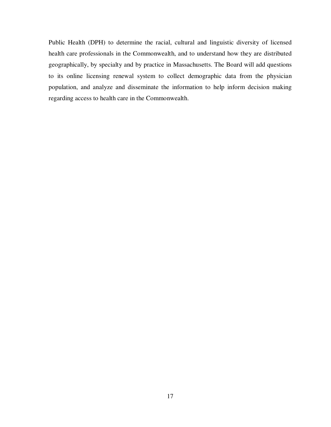Public Health (DPH) to determine the racial, cultural and linguistic diversity of licensed health care professionals in the Commonwealth, and to understand how they are distributed geographically, by specialty and by practice in Massachusetts. The Board will add questions to its online licensing renewal system to collect demographic data from the physician population, and analyze and disseminate the information to help inform decision making regarding access to health care in the Commonwealth.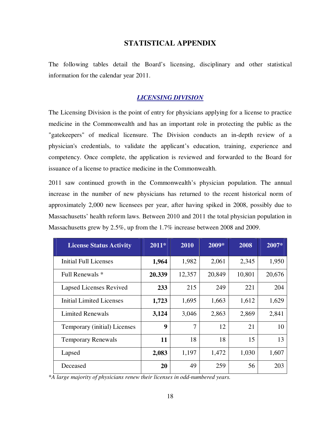# **STATISTICAL APPENDIX**

The following tables detail the Board's licensing, disciplinary and other statistical information for the calendar year 2011.

## *LICENSING DIVISION*

The Licensing Division is the point of entry for physicians applying for a license to practice medicine in the Commonwealth and has an important role in protecting the public as the "gatekeepers" of medical licensure. The Division conducts an in-depth review of a physician's credentials, to validate the applicant's education, training, experience and competency. Once complete, the application is reviewed and forwarded to the Board for issuance of a license to practice medicine in the Commonwealth.

2011 saw continued growth in the Commonwealth's physician population. The annual increase in the number of new physicians has returned to the recent historical norm of approximately 2,000 new licensees per year, after having spiked in 2008, possibly due to Massachusetts' health reform laws. Between 2010 and 2011 the total physician population in Massachusetts grew by 2.5%, up from the 1.7% increase between 2008 and 2009.

| <b>License Status Activity</b>  | $2011*$ | 2010   | 2009*  | 2008   | 2007*  |
|---------------------------------|---------|--------|--------|--------|--------|
| Initial Full Licenses           | 1,964   | 1,982  | 2,061  | 2,345  | 1,950  |
| Full Renewals *                 | 20.339  | 12,357 | 20,849 | 10,801 | 20,676 |
| <b>Lapsed Licenses Revived</b>  | 233     | 215    | 249    | 221    | 204    |
| <b>Initial Limited Licenses</b> | 1,723   | 1,695  | 1,663  | 1,612  | 1,629  |
| <b>Limited Renewals</b>         | 3,124   | 3,046  | 2,863  | 2,869  | 2,841  |
| Temporary (initial) Licenses    | 9       | 7      | 12     | 21     | 10     |
| <b>Temporary Renewals</b>       | 11      | 18     | 18     | 15     | 13     |
| Lapsed                          | 2,083   | 1,197  | 1,472  | 1,030  | 1,607  |
| Deceased                        | 20      | 49     | 259    | 56     | 203    |

\**A large majority of physicians renew their licenses in odd-numbered years.*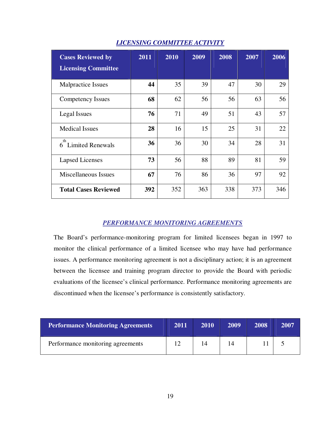| <b>Cases Reviewed by</b>    | 2011 | 2010 | 2009 | 2008 | 2007 | 2006 |
|-----------------------------|------|------|------|------|------|------|
| <b>Licensing Committee</b>  |      |      |      |      |      |      |
| Malpractice Issues          | 44   | 35   | 39   | 47   | 30   | 29   |
| Competency Issues           | 68   | 62   | 56   | 56   | 63   | 56   |
| Legal Issues                | 76   | 71   | 49   | 51   | 43   | 57   |
| <b>Medical Issues</b>       | 28   | 16   | 15   | 25   | 31   | 22   |
| th<br>6 Limited Renewals    | 36   | 36   | 30   | 34   | 28   | 31   |
| <b>Lapsed Licenses</b>      | 73   | 56   | 88   | 89   | 81   | 59   |
| Miscellaneous Issues        | 67   | 76   | 86   | 36   | 97   | 92   |
| <b>Total Cases Reviewed</b> | 392  | 352  | 363  | 338  | 373  | 346  |

# *LICENSING COMMITTEE ACTIVITY*

# *PERFORMANCE MONITORING AGREEMENTS*

The Board's performance-monitoring program for limited licensees began in 1997 to monitor the clinical performance of a limited licensee who may have had performance issues. A performance monitoring agreement is not a disciplinary action; it is an agreement between the licensee and training program director to provide the Board with periodic evaluations of the licensee's clinical performance. Performance monitoring agreements are discontinued when the licensee's performance is consistently satisfactory.

| <b>Performance Monitoring Agreements</b> | 2011 | 2010 | 2009 | 2008 | <b>2007</b> |
|------------------------------------------|------|------|------|------|-------------|
| Performance monitoring agreements        |      | 14   |      |      |             |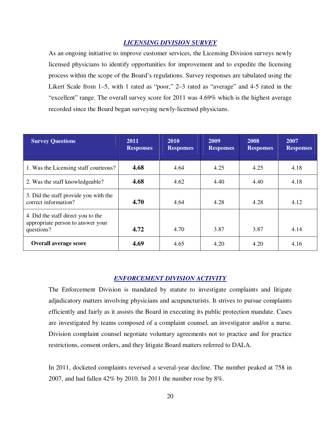## *LICENSING DIVISION SURVEY*

As an ongoing initiative to improve customer services, the Licensing Division surveys newly licensed physicians to identify opportunities for improvement and to expedite the licensing process within the scope of the Board's regulations. Survey responses are tabulated using the Likert Scale from 1–5, with 1 rated as "poor," 2–3 rated as "average" and 4-5 rated in the "excellent" range. The overall survey score for 2011 was 4.69% which is the highest average recorded since the Board began surveying newly-licensed physicians.

| <b>Survey Questions</b>                                                               | 2011<br><b>Responses</b> | 2010<br><b>Responses</b> | 2009<br><b>Responses</b> | 2008<br><b>Responses</b> | 2007<br><b>Responses</b> |
|---------------------------------------------------------------------------------------|--------------------------|--------------------------|--------------------------|--------------------------|--------------------------|
| 1. Was the Licensing staff courteous?                                                 | 4.68                     | 4.64                     | 4.25                     | 4.25                     | 4.18                     |
| 2. Was the staff knowledgeable?                                                       | 4.68                     | 4.62                     | 4.40<br>4.40             |                          | 4.18                     |
| 3. Did the staff provide you with the<br>correct information?                         | 4.70                     | 4.64                     | 4.28                     | 4.28                     | 4.12                     |
| 4. Did the staff direct you to the<br>appropriate person to answer your<br>questions? | 4.72                     | 4.70                     | 3.87                     | 3.87                     | 4.14                     |
| <b>Overall average score</b>                                                          | 4.69                     | 4.65                     | 4.20                     | 4.20                     | 4.16                     |

# *ENFORCEMENT DIVISION ACTIVITY*

The Enforcement Division is mandated by statute to investigate complaints and litigate adjudicatory matters involving physicians and acupuncturists. It strives to pursue complaints efficiently and fairly as it assists the Board in executing its public protection mandate. Cases are investigated by teams composed of a complaint counsel, an investigator and/or a nurse. Division complaint counsel negotiate voluntary agreements not to practice and for practice restrictions, consent orders, and they litigate Board matters referred to DALA.

In 2011, docketed complaints reversed a several-year decline. The number peaked at 758 in 2007, and had fallen 42% by 2010. In 2011 the number rose by 8%.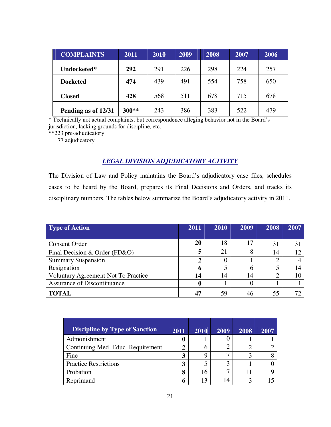| <b>COMPLAINTS</b>   | 2011  | 2010 | 2009 | 2008 | 2007 | 2006 |
|---------------------|-------|------|------|------|------|------|
| Undocketed*         | 292   | 291  | 226  | 298  | 224  | 257  |
| <b>Docketed</b>     | 474   | 439  | 491  | 554  | 758  | 650  |
| <b>Closed</b>       | 428   | 568  | 511  | 678  | 715  | 678  |
| Pending as of 12/31 | 300** | 243  | 386  | 383  | 522  | 479  |

\* Technically not actual complaints, but correspondence alleging behavior not in the Board's jurisdiction, lacking grounds for discipline, etc.

\*\*223 pre-adjudicatory

77 adjudicatory

# *LEGAL DIVISION ADJUDICATORY ACTIVITY*

The Division of Law and Policy maintains the Board's adjudicatory case files, schedules cases to be heard by the Board, prepares its Final Decisions and Orders, and tracks its disciplinary numbers. The tables below summarize the Board's adjudicatory activity in 2011.

| Type of Action                      | 2011 | 2010 | 2009 | 2008 | 2007 |
|-------------------------------------|------|------|------|------|------|
|                                     |      |      |      |      |      |
| <b>Consent Order</b>                | 20   | 18   |      | 31   |      |
| Final Decision & Order (FD&O)       | 5    | 21   | 8    | 14   | 12   |
| <b>Summary Suspension</b>           | 2    | 0    |      |      |      |
| Resignation                         | 6    | 5    |      |      | 14   |
| Voluntary Agreement Not To Practice | 14   | 14   | 14   |      |      |
| Assurance of Discontinuance         | O    |      |      |      |      |
| <b>TOTAL</b>                        | 47   | 59   | 46   | 55   |      |

| <b>Discipline by Type of Sanction</b> | 2011 | 2010 | 2009 | 2008 | 2007 |
|---------------------------------------|------|------|------|------|------|
| Admonishment                          | O    |      |      |      |      |
| Continuing Med. Educ. Requirement     | 2    | 6    |      |      |      |
| Fine                                  | 3    | q    |      |      |      |
| <b>Practice Restrictions</b>          | 3    |      | 3    |      |      |
| Probation                             | 8    | 16   |      |      |      |
| Reprimand                             | 6    | 13   | 14   | 3    |      |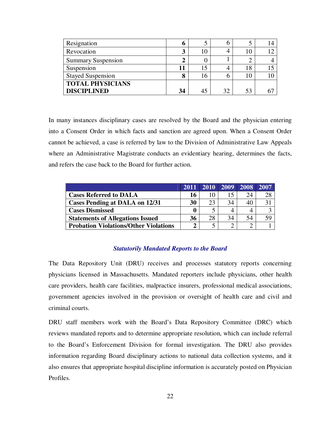| Resignation               | O  |    | n  |    |  |
|---------------------------|----|----|----|----|--|
| Revocation                | 3  | 10 |    |    |  |
| <b>Summary Suspension</b> | 2  |    |    |    |  |
| Suspension                | 11 | 15 |    | 18 |  |
| <b>Stayed Suspension</b>  | 8  | 16 | n  |    |  |
| <b>TOTAL PHYSICIANS</b>   |    |    |    |    |  |
| <b>DISCIPLINED</b>        | 34 |    | 32 | 53 |  |

In many instances disciplinary cases are resolved by the Board and the physician entering into a Consent Order in which facts and sanction are agreed upon. When a Consent Order cannot be achieved, a case is referred by law to the Division of Administrative Law Appeals where an Administrative Magistrate conducts an evidentiary hearing, determines the facts, and refers the case back to the Board for further action.

|                                              | 2011     | 2010 | 2009 | 2008 | 2007 |
|----------------------------------------------|----------|------|------|------|------|
| <b>Cases Referred to DALA</b>                | 16       |      |      | 24   | 28   |
| Cases Pending at DALA on 12/31               | 30       | 23   | 34   | 40   |      |
| <b>Cases Dismissed</b>                       | $\bf{0}$ |      |      |      |      |
| <b>Statements of Allegations Issued</b>      | 36       | 28   | 34   | 54   | 59   |
| <b>Probation Violations/Other Violations</b> | Δ        |      |      |      |      |

### *Statutorily Mandated Reports to the Board*

The Data Repository Unit (DRU) receives and processes statutory reports concerning physicians licensed in Massachusetts. Mandated reporters include physicians, other health care providers, health care facilities, malpractice insurers, professional medical associations, government agencies involved in the provision or oversight of health care and civil and criminal courts.

DRU staff members work with the Board's Data Repository Committee (DRC) which reviews mandated reports and to determine appropriate resolution, which can include referral to the Board's Enforcement Division for formal investigation. The DRU also provides information regarding Board disciplinary actions to national data collection systems, and it also ensures that appropriate hospital discipline information is accurately posted on Physician Profiles.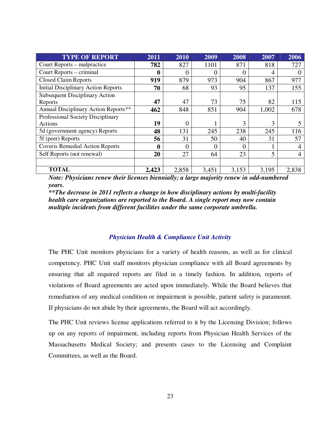| <b>TYPE OF REPORT</b>                      | 2011             | 2010  | 2009  | 2008           | 2007           | 2006     |
|--------------------------------------------|------------------|-------|-------|----------------|----------------|----------|
| Court Reports – malpractice                | 782              | 827   | 1101  | 871            | 818            | 727      |
| Court Reports – criminal                   | $\boldsymbol{0}$ | 0     | 0     | $\overline{0}$ | $\overline{4}$ | $\theta$ |
| <b>Closed Claim Reports</b>                | 919              | 879   | 973   | 904            | 867            | 977      |
| <b>Initial Disciplinary Action Reports</b> | 70               | 68    | 93    | 95             | 137            | 155      |
| <b>Subsequent Disciplinary Action</b>      |                  |       |       |                |                |          |
| Reports                                    | 47               | 47    | 73    | 75             | 82             | 115      |
| Annual Disciplinary Action Reports**       | 462              | 848   | 851   | 904            | 1,002          | 678      |
| Professional Society Disciplinary          |                  |       |       |                |                |          |
| Actions                                    | 19               | 0     |       | 3              | 3              | 5        |
| 5d (government agency) Reports             | 48               | 131   | 245   | 238            | 245            | 116      |
| 5f (peer) Reports                          | 56               | 31    | 50    | 40             | 31             | 57       |
| <b>Coveris Remedial Action Reports</b>     | 0                | 0     | 0     | $\theta$       |                | 4        |
| Self Reports (not renewal)                 | 20               | 27    | 64    | 23             | 5              | 4        |
|                                            |                  |       |       |                |                |          |
| <b>TOTAL</b>                               | 2,423            | 2,858 | 3,451 | 3,153          | 3,195          | 2,838    |

*Note: Physicians renew their licenses biennially; a large majority renew in odd-numbered years.* 

*\*\*The decrease in 2011 reflects a change in how disciplinary actions by multi-facility health care organizations are reported to the Board. A single report may now contain multiple incidents from different facilities under the same corporate umbrella.* 

### *Physician Health & Compliance Unit Activity*

The PHC Unit monitors physicians for a variety of health reasons, as well as for clinical competency. PHC Unit staff monitors physician compliance with all Board agreements by ensuring that all required reports are filed in a timely fashion. In addition, reports of violations of Board agreements are acted upon immediately. While the Board believes that remediation of any medical condition or impairment is possible, patient safety is paramount. If physicians do not abide by their agreements, the Board will act accordingly.

The PHC Unit reviews license applications referred to it by the Licensing Division; follows up on any reports of impairment, including reports from Physician Health Services of the Massachusetts Medical Society; and presents cases to the Licensing and Complaint Committees, as well as the Board.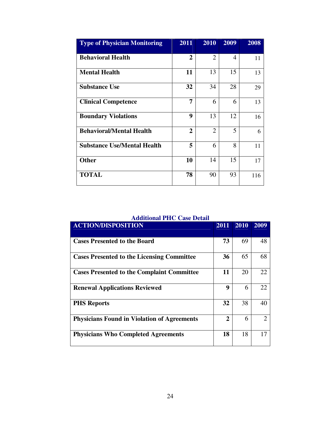| <b>Type of Physician Monitoring</b> | 2011           | 2010           | 2009 | 2008 |
|-------------------------------------|----------------|----------------|------|------|
| <b>Behavioral Health</b>            | $\overline{2}$ | $\overline{2}$ | 4    | 11   |
| <b>Mental Health</b>                | 11             | 13             | 15   | 13   |
| <b>Substance Use</b>                | 32             | 34             | 28   | 29   |
| <b>Clinical Competence</b>          | 7              | 6              | 6    | 13   |
| <b>Boundary Violations</b>          | 9              | 13             | 12   | 16   |
| <b>Behavioral/Mental Health</b>     | $\overline{2}$ | $\overline{2}$ | 5    | 6    |
| <b>Substance Use/Mental Health</b>  | 5              | 6              | 8    | 11   |
| <b>Other</b>                        | 10             | 14             | 15   | 17   |
| <b>TOTAL</b>                        | 78             | 90             | 93   | 116  |

# **Additional PHC Case Detail**

| <b>ACTION/DISPOSITION</b>                          | 2011 | 2010 | 2009                        |
|----------------------------------------------------|------|------|-----------------------------|
| <b>Cases Presented to the Board</b>                | 73   | 69   | 48                          |
| <b>Cases Presented to the Licensing Committee</b>  | 36   | 65   | 68                          |
| <b>Cases Presented to the Complaint Committee</b>  | 11   | 20   | 22                          |
| <b>Renewal Applications Reviewed</b>               | 9    | 6    | 22                          |
| <b>PHS Reports</b>                                 | 32   | 38   | 40                          |
| <b>Physicians Found in Violation of Agreements</b> | 2    | 6    | $\mathcal{D}_{\mathcal{L}}$ |
| <b>Physicians Who Completed Agreements</b>         | 18   | 18   | 17                          |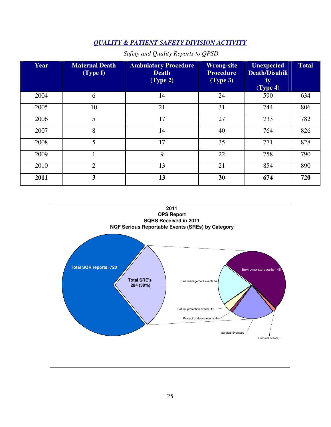# *QUALITY & PATIENT SAFETY DIVISION ACTIVITY*

| Year | <b>Maternal Death</b><br>(Type I) | <b>Ambulatory Procedure</b><br><b>Death</b><br>(Type 2) | <b>Wrong-site</b><br><b>Procedure</b><br>(Type 3) | <b>Unexpected</b><br><b>Death/Disabili</b><br>ty<br>$(\text{Type } 4)$ | <b>Total</b> |
|------|-----------------------------------|---------------------------------------------------------|---------------------------------------------------|------------------------------------------------------------------------|--------------|
| 2004 | 6                                 | 14                                                      | 24                                                | 590                                                                    | 634          |
| 2005 | 10                                | 21                                                      | 31                                                | 744                                                                    | 806          |
| 2006 | 5                                 | 17                                                      | 27                                                | 733                                                                    | 782          |
| 2007 | 8                                 | 14                                                      | 40                                                | 764                                                                    | 826          |
| 2008 | 5                                 | 17                                                      | 35                                                | 771                                                                    | 828          |
| 2009 |                                   | 9                                                       | 22                                                | 758                                                                    | 790          |
| 2010 | $\overline{2}$                    | 13                                                      | 21                                                | 854                                                                    | 890          |
| 2011 | 3                                 | 13                                                      | 30                                                | 674                                                                    | 720          |

# *Safety and Quality Reports to QPSD*